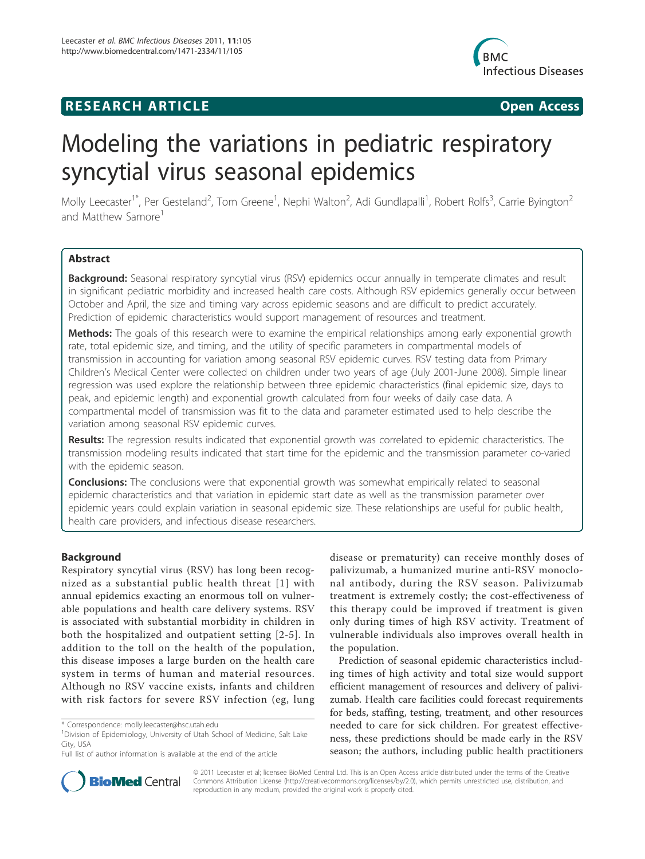## **RESEARCH ARTICLE Example 2018 CONSIDERING ACCESS**



# Modeling the variations in pediatric respiratory syncytial virus seasonal epidemics

Molly Leecaster<sup>1\*</sup>, Per Gesteland<sup>2</sup>, Tom Greene<sup>1</sup>, Nephi Walton<sup>2</sup>, Adi Gundlapalli<sup>1</sup>, Robert Rolfs<sup>3</sup>, Carrie Byington<sup>2</sup> and Matthew Samore<sup>1</sup>

## Abstract

Background: Seasonal respiratory syncytial virus (RSV) epidemics occur annually in temperate climates and result in significant pediatric morbidity and increased health care costs. Although RSV epidemics generally occur between October and April, the size and timing vary across epidemic seasons and are difficult to predict accurately. Prediction of epidemic characteristics would support management of resources and treatment.

Methods: The goals of this research were to examine the empirical relationships among early exponential growth rate, total epidemic size, and timing, and the utility of specific parameters in compartmental models of transmission in accounting for variation among seasonal RSV epidemic curves. RSV testing data from Primary Children's Medical Center were collected on children under two years of age (July 2001-June 2008). Simple linear regression was used explore the relationship between three epidemic characteristics (final epidemic size, days to peak, and epidemic length) and exponential growth calculated from four weeks of daily case data. A compartmental model of transmission was fit to the data and parameter estimated used to help describe the variation among seasonal RSV epidemic curves.

Results: The regression results indicated that exponential growth was correlated to epidemic characteristics. The transmission modeling results indicated that start time for the epidemic and the transmission parameter co-varied with the epidemic season.

**Conclusions:** The conclusions were that exponential growth was somewhat empirically related to seasonal epidemic characteristics and that variation in epidemic start date as well as the transmission parameter over epidemic years could explain variation in seasonal epidemic size. These relationships are useful for public health, health care providers, and infectious disease researchers.

#### Background

Respiratory syncytial virus (RSV) has long been recognized as a substantial public health threat [1] with annual epidemics exacting an enormous toll on vulnerable populations and health care delivery systems. RSV is associated with substantial morbidity in children in both the hospitalized and outpatient setting [2-5]. In addition to the toll on the health of the population, this disease imposes a large burden on the health care system in terms of human and material resources. Although no RSV vaccine exists, infants and children with risk factors for severe RSV infection (eg, lung

disease or prematurity) can receive monthly doses of palivizumab, a humanized murine anti-RSV monoclonal antibody, during the RSV season. Palivizumab treatment is extremely costly; the cost-effectiveness of this therapy could be improved if treatment is given only during times of high RSV activity. Treatment of vulnerable individuals also improves overall health in the population.

Prediction of seasonal epidemic characteristics including times of high activity and total size would support efficient management of resources and delivery of palivizumab. Health care facilities could forecast requirements for beds, staffing, testing, treatment, and other resources needed to care for sick children. For greatest effectiveness, these predictions should be made early in the RSV season; the authors, including public health practitioners



© 2011 Leecaster et al; licensee BioMed Central Ltd. This is an Open Access article distributed under the terms of the Creative Commons Attribution License (http://creativecommons.org/licenses/by/2.0), which permits unrestricted use, distribution, and reproduction in any medium, provided the original work is properly cited.

<sup>\*</sup> Correspondence: molly.leecaster@hsc.utah.edu

<sup>&</sup>lt;sup>1</sup> Division of Epidemiology, University of Utah School of Medicine, Salt Lake City, USA

Full list of author information is available at the end of the article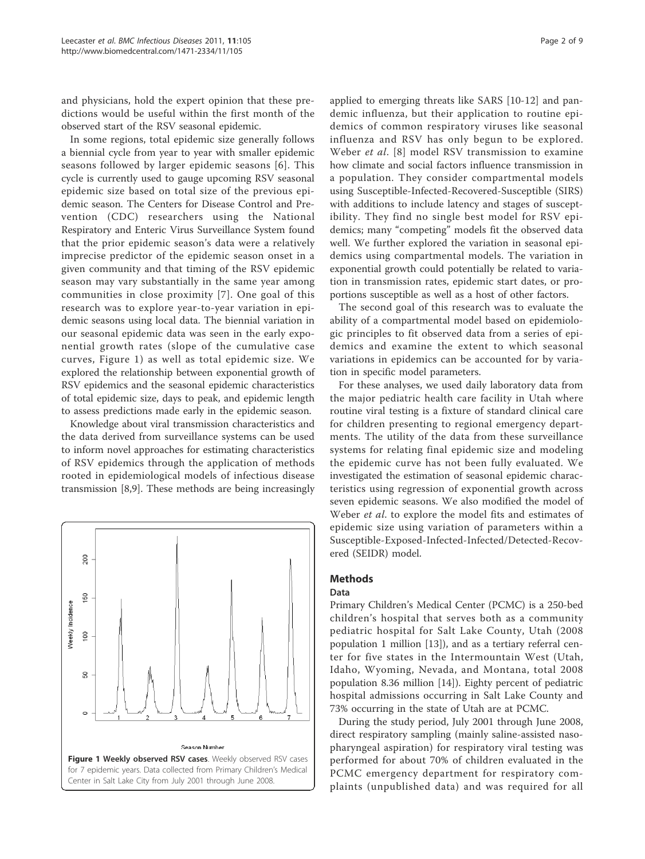and physicians, hold the expert opinion that these predictions would be useful within the first month of the observed start of the RSV seasonal epidemic.

In some regions, total epidemic size generally follows a biennial cycle from year to year with smaller epidemic seasons followed by larger epidemic seasons [6]. This cycle is currently used to gauge upcoming RSV seasonal epidemic size based on total size of the previous epidemic season. The Centers for Disease Control and Prevention (CDC) researchers using the National Respiratory and Enteric Virus Surveillance System found that the prior epidemic season's data were a relatively imprecise predictor of the epidemic season onset in a given community and that timing of the RSV epidemic season may vary substantially in the same year among communities in close proximity [7]. One goal of this research was to explore year-to-year variation in epidemic seasons using local data. The biennial variation in our seasonal epidemic data was seen in the early exponential growth rates (slope of the cumulative case curves, Figure 1) as well as total epidemic size. We explored the relationship between exponential growth of RSV epidemics and the seasonal epidemic characteristics of total epidemic size, days to peak, and epidemic length to assess predictions made early in the epidemic season.

Knowledge about viral transmission characteristics and the data derived from surveillance systems can be used to inform novel approaches for estimating characteristics of RSV epidemics through the application of methods rooted in epidemiological models of infectious disease transmission [8,9]. These methods are being increasingly



applied to emerging threats like SARS [10-12] and pandemic influenza, but their application to routine epidemics of common respiratory viruses like seasonal influenza and RSV has only begun to be explored. Weber et al. [8] model RSV transmission to examine how climate and social factors influence transmission in a population. They consider compartmental models using Susceptible-Infected-Recovered-Susceptible (SIRS) with additions to include latency and stages of susceptibility. They find no single best model for RSV epidemics; many "competing" models fit the observed data well. We further explored the variation in seasonal epidemics using compartmental models. The variation in exponential growth could potentially be related to variation in transmission rates, epidemic start dates, or proportions susceptible as well as a host of other factors.

The second goal of this research was to evaluate the ability of a compartmental model based on epidemiologic principles to fit observed data from a series of epidemics and examine the extent to which seasonal variations in epidemics can be accounted for by variation in specific model parameters.

For these analyses, we used daily laboratory data from the major pediatric health care facility in Utah where routine viral testing is a fixture of standard clinical care for children presenting to regional emergency departments. The utility of the data from these surveillance systems for relating final epidemic size and modeling the epidemic curve has not been fully evaluated. We investigated the estimation of seasonal epidemic characteristics using regression of exponential growth across seven epidemic seasons. We also modified the model of Weber *et al.* to explore the model fits and estimates of epidemic size using variation of parameters within a Susceptible-Exposed-Infected-Infected/Detected-Recovered (SEIDR) model.

## Methods

#### Data

Primary Children's Medical Center (PCMC) is a 250-bed children's hospital that serves both as a community pediatric hospital for Salt Lake County, Utah (2008 population 1 million [13]), and as a tertiary referral center for five states in the Intermountain West (Utah, Idaho, Wyoming, Nevada, and Montana, total 2008 population 8.36 million [14]). Eighty percent of pediatric hospital admissions occurring in Salt Lake County and 73% occurring in the state of Utah are at PCMC.

During the study period, July 2001 through June 2008, direct respiratory sampling (mainly saline-assisted nasopharyngeal aspiration) for respiratory viral testing was performed for about 70% of children evaluated in the PCMC emergency department for respiratory complaints (unpublished data) and was required for all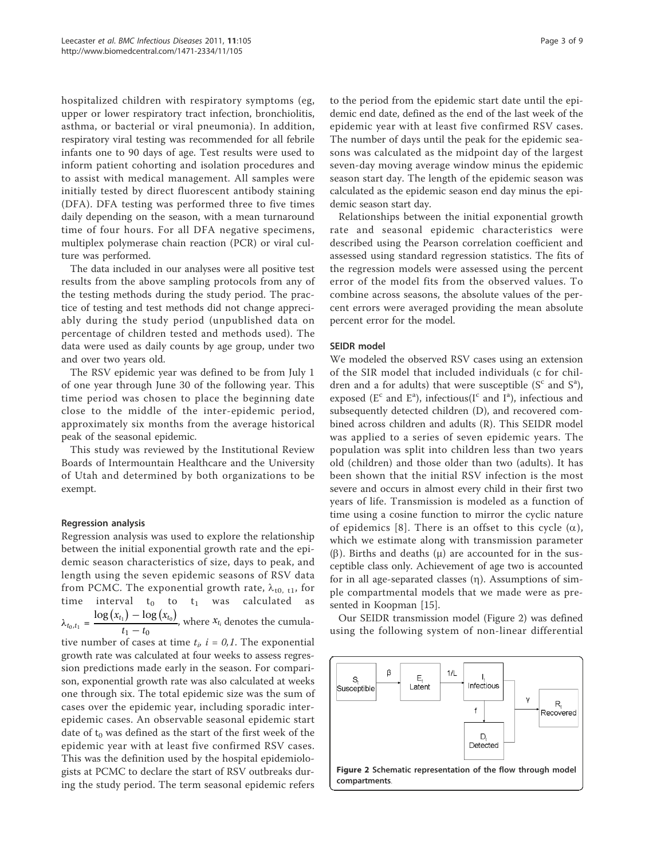hospitalized children with respiratory symptoms (eg, upper or lower respiratory tract infection, bronchiolitis, asthma, or bacterial or viral pneumonia). In addition, respiratory viral testing was recommended for all febrile infants one to 90 days of age. Test results were used to inform patient cohorting and isolation procedures and to assist with medical management. All samples were initially tested by direct fluorescent antibody staining (DFA). DFA testing was performed three to five times daily depending on the season, with a mean turnaround time of four hours. For all DFA negative specimens, multiplex polymerase chain reaction (PCR) or viral culture was performed.

The data included in our analyses were all positive test results from the above sampling protocols from any of the testing methods during the study period. The practice of testing and test methods did not change appreciably during the study period (unpublished data on percentage of children tested and methods used). The data were used as daily counts by age group, under two and over two years old.

The RSV epidemic year was defined to be from July 1 of one year through June 30 of the following year. This time period was chosen to place the beginning date close to the middle of the inter-epidemic period, approximately six months from the average historical peak of the seasonal epidemic.

This study was reviewed by the Institutional Review Boards of Intermountain Healthcare and the University of Utah and determined by both organizations to be exempt.

#### Regression analysis

Regression analysis was used to explore the relationship between the initial exponential growth rate and the epidemic season characteristics of size, days to peak, and length using the seven epidemic seasons of RSV data from PCMC. The exponential growth rate,  $\lambda_{t0, t1}$ , for<br>time interval  $t_0$  to  $t_1$  was calculated as time interval  $t_0$  to  $t_1$  was calculated  $\lambda_{t_0,t_1} = \frac{\log (x_{t_1}) - \log (x_{t_0})}{t}$  $t_1 - t_0$ , where  $x_{t_i}$  denotes the cumulative number of cases at time  $t_i$ ,  $i = 0,1$ . The exponential growth rate was calculated at four weeks to assess regression predictions made early in the season. For comparison, exponential growth rate was also calculated at weeks one through six. The total epidemic size was the sum of cases over the epidemic year, including sporadic interepidemic cases. An observable seasonal epidemic start date of  $t_0$  was defined as the start of the first week of the epidemic year with at least five confirmed RSV cases. This was the definition used by the hospital epidemiologists at PCMC to declare the start of RSV outbreaks during the study period. The term seasonal epidemic refers

to the period from the epidemic start date until the epidemic end date, defined as the end of the last week of the epidemic year with at least five confirmed RSV cases. The number of days until the peak for the epidemic seasons was calculated as the midpoint day of the largest seven-day moving average window minus the epidemic season start day. The length of the epidemic season was calculated as the epidemic season end day minus the epidemic season start day.

Relationships between the initial exponential growth rate and seasonal epidemic characteristics were described using the Pearson correlation coefficient and assessed using standard regression statistics. The fits of the regression models were assessed using the percent error of the model fits from the observed values. To combine across seasons, the absolute values of the percent errors were averaged providing the mean absolute percent error for the model.

#### SEIDR model

We modeled the observed RSV cases using an extension of the SIR model that included individuals (c for children and a for adults) that were susceptible ( $S<sup>c</sup>$  and  $S<sup>a</sup>$ ), exposed ( $E^c$  and  $E^a$ ), infectious( $I^c$  and  $I^a$ ), infectious and subsequently detected children (D), and recovered combined across children and adults (R). This SEIDR model was applied to a series of seven epidemic years. The population was split into children less than two years old (children) and those older than two (adults). It has been shown that the initial RSV infection is the most severe and occurs in almost every child in their first two years of life. Transmission is modeled as a function of time using a cosine function to mirror the cyclic nature of epidemics [8]. There is an offset to this cycle  $(\alpha)$ , which we estimate along with transmission parameter (β). Births and deaths ( $\mu$ ) are accounted for in the susceptible class only. Achievement of age two is accounted for in all age-separated classes  $(\eta)$ . Assumptions of simple compartmental models that we made were as presented in Koopman [15].

Our SEIDR transmission model (Figure 2) was defined using the following system of non-linear differential

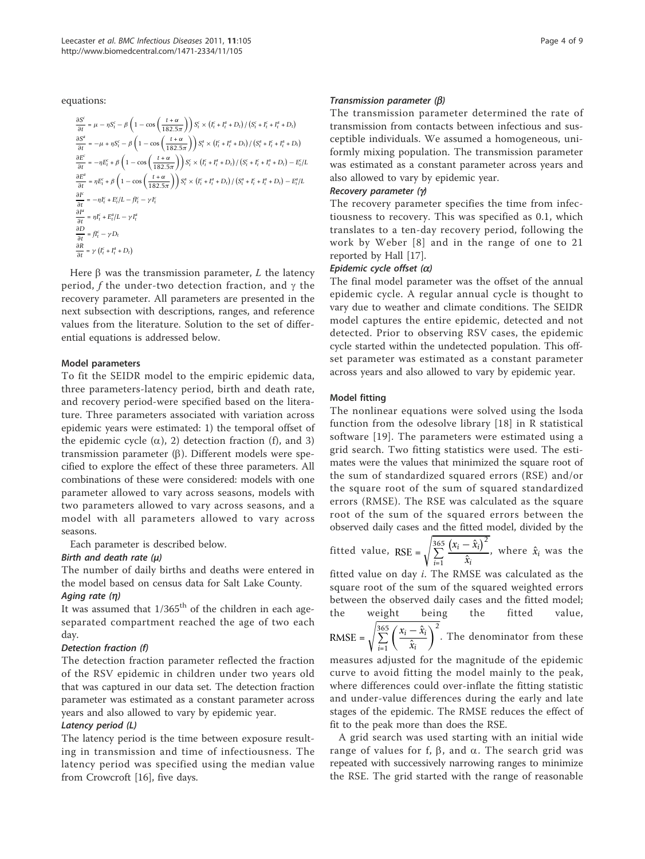equations:

$$
\begin{split} &\frac{\partial S^{c}}{\partial t}=\mu-\eta S_{t}^{c}-\beta\left(1-\cos\left(\frac{t+\alpha}{182.5\pi}\right)\right)S_{t}^{c}\times\left(I_{t}^{c}+I_{t}^{a}+D_{t}\right)/\left(S_{t}^{c}+I_{t}^{c}+I_{t}^{a}+D_{t}\right)\\ &\frac{\partial S^{a}}{\partial t}=-\mu+\eta S_{t}^{c}-\beta\left(1-\cos\left(\frac{t+\alpha}{182.5\pi}\right)\right)S_{t}^{a}\times\left(I_{t}^{c}+I_{t}^{a}+D_{t}\right)/\left(S_{t}^{a}+I_{t}^{c}+I_{t}^{a}+D_{t}\right)\\ &\frac{\partial E^{c}}{\partial t}=-\eta E_{t}^{c}+\beta\left(1-\cos\left(\frac{t+\alpha}{182.5\pi}\right)\right)S_{t}^{a}\times\left(I_{t}^{c}+I_{t}^{a}+D_{t}\right)/\left(S_{t}^{a}+I_{t}^{c}+I_{t}^{a}+D_{t}\right)-E_{t}^{c}/L\\ &\frac{\partial E^{a}}{\partial t}=\eta E_{t}^{c}+\beta\left(1-\cos\left(\frac{t+\alpha}{182.5\pi}\right)\right)S_{t}^{a}\times\left(I_{t}^{c}+I_{t}^{a}+D_{t}\right)/\left(S_{t}^{a}+I_{t}^{c}+I_{t}^{a}+D_{t}\right)-E_{t}^{a}/L\\ &\frac{\partial F^{c}}{\partial t}=-\eta I_{t}^{c}+E_{t}^{c}/L-\eta_{t}^{c}-\gamma I_{t}^{c}\\ &\frac{\partial H^{a}}{\partial t}=\eta I_{t}^{c}+E_{t}^{a}/L-\gamma I_{t}^{a}\\ &\frac{\partial D}{\partial t}=\beta I_{t}^{c}-\gamma D_{t}\\ &\frac{\partial R}{\partial t}=\gamma\left(I_{t}^{c}+I_{t}^{a}+D_{t}\right)\\ \end{split}
$$

Here  $\beta$  was the transmission parameter, L the latency period, f the under-two detection fraction, and  $\gamma$  the recovery parameter. All parameters are presented in the next subsection with descriptions, ranges, and reference values from the literature. Solution to the set of differential equations is addressed below.

#### Model parameters

To fit the SEIDR model to the empiric epidemic data, three parameters-latency period, birth and death rate, and recovery period-were specified based on the literature. Three parameters associated with variation across epidemic years were estimated: 1) the temporal offset of the epidemic cycle  $(\alpha)$ , 2) detection fraction (f), and 3) transmission parameter  $(\beta)$ . Different models were specified to explore the effect of these three parameters. All combinations of these were considered: models with one parameter allowed to vary across seasons, models with two parameters allowed to vary across seasons, and a model with all parameters allowed to vary across seasons.

Each parameter is described below.

## Birth and death rate (μ)

The number of daily births and deaths were entered in the model based on census data for Salt Lake County.

#### Aging rate (n)

It was assumed that  $1/365$ <sup>th</sup> of the children in each ageseparated compartment reached the age of two each day.

## Detection fraction (f)

The detection fraction parameter reflected the fraction of the RSV epidemic in children under two years old that was captured in our data set. The detection fraction parameter was estimated as a constant parameter across years and also allowed to vary by epidemic year.

## Latency period (L)

The latency period is the time between exposure resulting in transmission and time of infectiousness. The latency period was specified using the median value from Crowcroft [16], five days.

## Transmission parameter  $(\beta)$

The transmission parameter determined the rate of transmission from contacts between infectious and susceptible individuals. We assumed a homogeneous, uniformly mixing population. The transmission parameter was estimated as a constant parameter across years and also allowed to vary by epidemic year.

## Recovery parameter (g)

The recovery parameter specifies the time from infectiousness to recovery. This was specified as 0.1, which translates to a ten-day recovery period, following the work by Weber [8] and in the range of one to 21 reported by Hall [17].

## Epidemic cycle offset  $(\alpha)$

The final model parameter was the offset of the annual epidemic cycle. A regular annual cycle is thought to vary due to weather and climate conditions. The SEIDR model captures the entire epidemic, detected and not detected. Prior to observing RSV cases, the epidemic cycle started within the undetected population. This offset parameter was estimated as a constant parameter across years and also allowed to vary by epidemic year.

#### Model fitting

The nonlinear equations were solved using the lsoda function from the odesolve library [18] in R statistical software [19]. The parameters were estimated using a grid search. Two fitting statistics were used. The estimates were the values that minimized the square root of the sum of standardized squared errors (RSE) and/or the square root of the sum of squared standardized errors (RMSE). The RSE was calculated as the square root of the sum of the squared errors between the observed daily cases and the fitted model, divided by the

fitted value, RSE = 
$$
\sqrt{\sum_{i=1}^{365} \frac{(x_i - \hat{x}_i)^2}{\hat{x}_i}}
$$
, where  $\hat{x}_i$  was the

fitted value on day i. The RMSE was calculated as the square root of the sum of the squared weighted errors between the observed daily cases and the fitted model; the weight being the fitted value,  $RMSE = \sqrt{\sum_{i=1}^{365} \left( \frac{x_i - \hat{x}_i}{\hat{x}_i} \right)}$  $\int_{0}^{2}$ . The denominator from these

measures adjusted for the magnitude of the epidemic curve to avoid fitting the model mainly to the peak, where differences could over-inflate the fitting statistic and under-value differences during the early and late stages of the epidemic. The RMSE reduces the effect of fit to the peak more than does the RSE.

A grid search was used starting with an initial wide range of values for f,  $\beta$ , and  $\alpha$ . The search grid was repeated with successively narrowing ranges to minimize the RSE. The grid started with the range of reasonable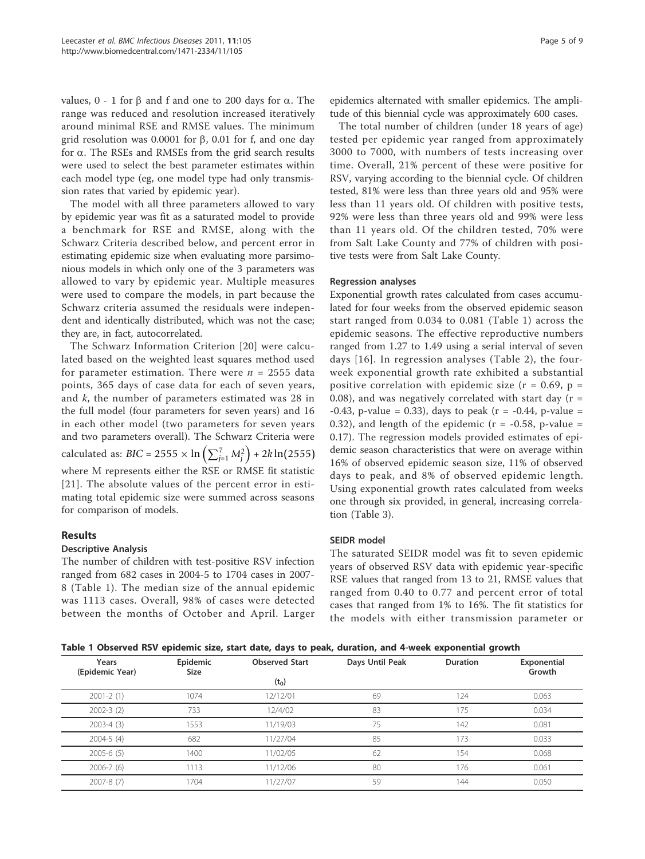values,  $0 - 1$  for  $\beta$  and f and one to 200 days for  $\alpha$ . The range was reduced and resolution increased iteratively around minimal RSE and RMSE values. The minimum grid resolution was  $0.0001$  for  $\beta$ ,  $0.01$  for f, and one day for  $\alpha$ . The RSEs and RMSEs from the grid search results were used to select the best parameter estimates within each model type (eg, one model type had only transmission rates that varied by epidemic year).

The model with all three parameters allowed to vary by epidemic year was fit as a saturated model to provide a benchmark for RSE and RMSE, along with the Schwarz Criteria described below, and percent error in estimating epidemic size when evaluating more parsimonious models in which only one of the 3 parameters was allowed to vary by epidemic year. Multiple measures were used to compare the models, in part because the Schwarz criteria assumed the residuals were independent and identically distributed, which was not the case; they are, in fact, autocorrelated.

The Schwarz Information Criterion [20] were calculated based on the weighted least squares method used for parameter estimation. There were  $n = 2555$  data points, 365 days of case data for each of seven years, and k, the number of parameters estimated was 28 in the full model (four parameters for seven years) and 16 in each other model (two parameters for seven years and two parameters overall). The Schwarz Criteria were calculated as:  $BIC = 2555 \times \ln\left(\sum_{j=1}^{7} M_j^2\right) + 2k \ln(2555)$ where M represents either the RSE or RMSE fit statistic [21]. The absolute values of the percent error in estimating total epidemic size were summed across seasons for comparison of models.

#### Results

#### Descriptive Analysis

The number of children with test-positive RSV infection ranged from 682 cases in 2004-5 to 1704 cases in 2007- 8 (Table 1). The median size of the annual epidemic was 1113 cases. Overall, 98% of cases were detected between the months of October and April. Larger

epidemics alternated with smaller epidemics. The amplitude of this biennial cycle was approximately 600 cases.

The total number of children (under 18 years of age) tested per epidemic year ranged from approximately 3000 to 7000, with numbers of tests increasing over time. Overall, 21% percent of these were positive for RSV, varying according to the biennial cycle. Of children tested, 81% were less than three years old and 95% were less than 11 years old. Of children with positive tests, 92% were less than three years old and 99% were less than 11 years old. Of the children tested, 70% were from Salt Lake County and 77% of children with positive tests were from Salt Lake County.

#### Regression analyses

Exponential growth rates calculated from cases accumulated for four weeks from the observed epidemic season start ranged from 0.034 to 0.081 (Table 1) across the epidemic seasons. The effective reproductive numbers ranged from 1.27 to 1.49 using a serial interval of seven days [16]. In regression analyses (Table 2), the fourweek exponential growth rate exhibited a substantial positive correlation with epidemic size ( $r = 0.69$ ,  $p =$ 0.08), and was negatively correlated with start day ( $r =$  $-0.43$ , p-value = 0.33), days to peak (r =  $-0.44$ , p-value = 0.32), and length of the epidemic ( $r = -0.58$ , p-value = 0.17). The regression models provided estimates of epidemic season characteristics that were on average within 16% of observed epidemic season size, 11% of observed days to peak, and 8% of observed epidemic length. Using exponential growth rates calculated from weeks one through six provided, in general, increasing correlation (Table 3).

#### SEIDR model

The saturated SEIDR model was fit to seven epidemic years of observed RSV data with epidemic year-specific RSE values that ranged from 13 to 21, RMSE values that ranged from 0.40 to 0.77 and percent error of total cases that ranged from 1% to 16%. The fit statistics for the models with either transmission parameter or

Table 1 Observed RSV epidemic size, start date, days to peak, duration, and 4-week exponential growth

| Years<br>(Epidemic Year) | Epidemic<br><b>Size</b> | <b>Observed Start</b><br>$(t_0)$ | Days Until Peak | <b>Duration</b> | Exponential<br>Growth |
|--------------------------|-------------------------|----------------------------------|-----------------|-----------------|-----------------------|
|                          |                         |                                  |                 |                 |                       |
| $2001 - 2(1)$            | 1074                    | 12/12/01                         | 69              | 124             | 0.063                 |
| $2002 - 3(2)$            | 733                     | 12/4/02                          | 83              | 175             | 0.034                 |
| $2003-4(3)$              | 1553                    | 11/19/03                         | 75              | 142             | 0.081                 |
| $2004 - 5(4)$            | 682                     | 11/27/04                         | 85              | 173             | 0.033                 |
| $2005 - 6(5)$            | 1400                    | 11/02/05                         | 62              | 154             | 0.068                 |
| $2006 - 7(6)$            | 1113                    | 11/12/06                         | 80              | 176             | 0.061                 |
| $2007 - 8(7)$            | 1704                    | 11/27/07                         | 59              | 144             | 0.050                 |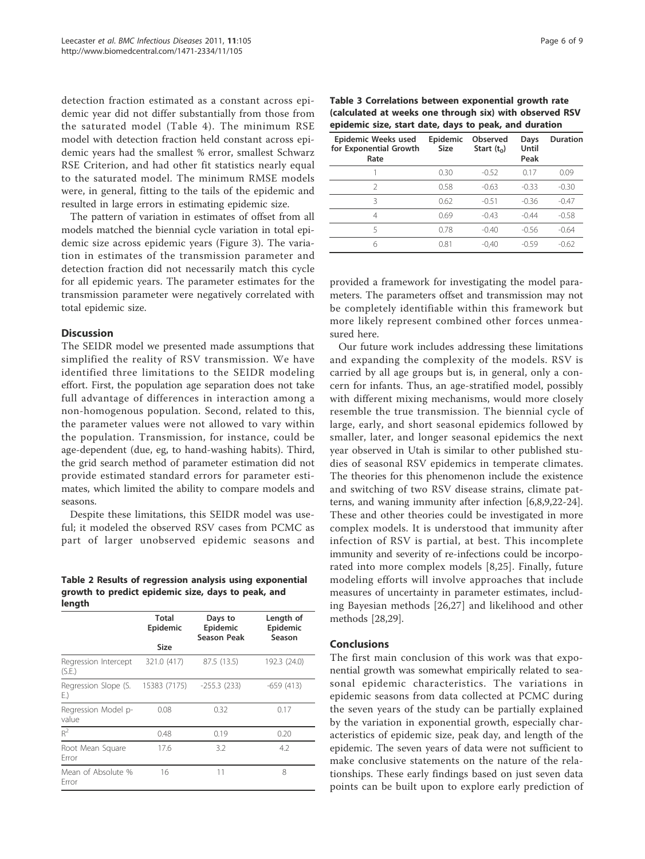detection fraction estimated as a constant across epidemic year did not differ substantially from those from the saturated model (Table 4). The minimum RSE model with detection fraction held constant across epidemic years had the smallest % error, smallest Schwarz RSE Criterion, and had other fit statistics nearly equal to the saturated model. The minimum RMSE models were, in general, fitting to the tails of the epidemic and resulted in large errors in estimating epidemic size.

The pattern of variation in estimates of offset from all models matched the biennial cycle variation in total epidemic size across epidemic years (Figure 3). The variation in estimates of the transmission parameter and detection fraction did not necessarily match this cycle for all epidemic years. The parameter estimates for the transmission parameter were negatively correlated with total epidemic size.

#### **Discussion**

The SEIDR model we presented made assumptions that simplified the reality of RSV transmission. We have identified three limitations to the SEIDR modeling effort. First, the population age separation does not take full advantage of differences in interaction among a non-homogenous population. Second, related to this, the parameter values were not allowed to vary within the population. Transmission, for instance, could be age-dependent (due, eg, to hand-washing habits). Third, the grid search method of parameter estimation did not provide estimated standard errors for parameter estimates, which limited the ability to compare models and seasons.

Despite these limitations, this SEIDR model was useful; it modeled the observed RSV cases from PCMC as part of larger unobserved epidemic seasons and

Table 2 Results of regression analysis using exponential growth to predict epidemic size, days to peak, and length

|                                | <b>Total</b><br>Epidemic | Days to<br>Epidemic<br><b>Season Peak</b> | Length of<br>Epidemic<br>Season |
|--------------------------------|--------------------------|-------------------------------------------|---------------------------------|
|                                | Size                     |                                           |                                 |
| Regression Intercept<br>(S.E.) | 321.0 (417)              | 87.5 (13.5)                               | 192.3 (24.0)                    |
| Regression Slope (S.<br>E.)    | 15383 (7175)             | $-255.3(233)$                             | $-659(413)$                     |
| Regression Model p-<br>value   | 0.08                     | 0.32                                      | 0.17                            |
| $R^2$                          | 0.48                     | 0.19                                      | 0.20                            |
| Root Mean Square<br>Error      | 17.6                     | 3.2                                       | 4.2                             |
| Mean of Absolute %<br>Frror    | 16                       | 11                                        | 8                               |

| Table 3 Correlations between exponential growth rate    |
|---------------------------------------------------------|
| (calculated at weeks one through six) with observed RSV |
| epidemic size, start date, days to peak, and duration   |

| Epidemic Weeks used<br>for Exponential Growth<br>Rate | Epidemic<br><b>Size</b> | Observed<br>Start $(t_0)$ | Days<br>Until<br>Peak | <b>Duration</b> |
|-------------------------------------------------------|-------------------------|---------------------------|-----------------------|-----------------|
|                                                       | 0.30                    | $-0.52$                   | 0.17                  | 0.09            |
| 2                                                     | 0.58                    | $-0.63$                   | $-0.33$               | $-0.30$         |
| 3                                                     | 0.62                    | $-0.51$                   | $-0.36$               | $-0.47$         |
| 4                                                     | 0.69                    | $-0.43$                   | $-0.44$               | $-0.58$         |
| 5                                                     | 0.78                    | $-0.40$                   | $-0.56$               | $-0.64$         |
| 6                                                     | 0.81                    | $-0,40$                   | $-0.59$               | $-0.62$         |
|                                                       |                         |                           |                       |                 |

provided a framework for investigating the model parameters. The parameters offset and transmission may not be completely identifiable within this framework but more likely represent combined other forces unmeasured here.

Our future work includes addressing these limitations and expanding the complexity of the models. RSV is carried by all age groups but is, in general, only a concern for infants. Thus, an age-stratified model, possibly with different mixing mechanisms, would more closely resemble the true transmission. The biennial cycle of large, early, and short seasonal epidemics followed by smaller, later, and longer seasonal epidemics the next year observed in Utah is similar to other published studies of seasonal RSV epidemics in temperate climates. The theories for this phenomenon include the existence and switching of two RSV disease strains, climate patterns, and waning immunity after infection [6,8,9,22-24]. These and other theories could be investigated in more complex models. It is understood that immunity after infection of RSV is partial, at best. This incomplete immunity and severity of re-infections could be incorporated into more complex models [8,25]. Finally, future modeling efforts will involve approaches that include measures of uncertainty in parameter estimates, including Bayesian methods [26,27] and likelihood and other methods [28,29].

## Conclusions

The first main conclusion of this work was that exponential growth was somewhat empirically related to seasonal epidemic characteristics. The variations in epidemic seasons from data collected at PCMC during the seven years of the study can be partially explained by the variation in exponential growth, especially characteristics of epidemic size, peak day, and length of the epidemic. The seven years of data were not sufficient to make conclusive statements on the nature of the relationships. These early findings based on just seven data points can be built upon to explore early prediction of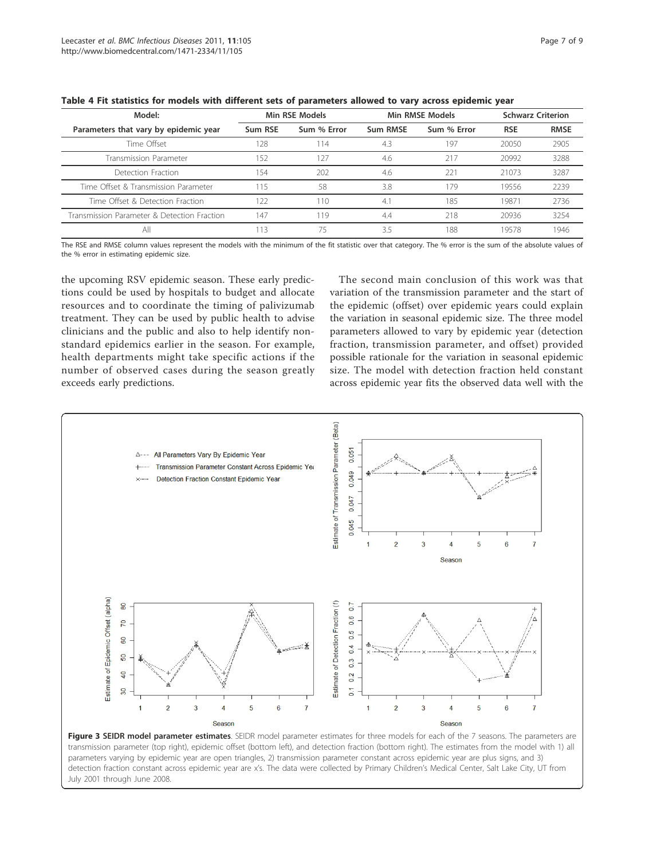| Model:                                      | Min RSE Models |             | Min RMSE Models |             | <b>Schwarz Criterion</b> |             |
|---------------------------------------------|----------------|-------------|-----------------|-------------|--------------------------|-------------|
| Parameters that vary by epidemic year       | Sum RSE        | Sum % Error | Sum RMSE        | Sum % Error | <b>RSE</b>               | <b>RMSE</b> |
| Time Offset                                 | 128            | 114         | 4.3             | 197         | 20050                    | 2905        |
| Transmission Parameter                      | 152            | 127         | 4.6             | 217         | 20992                    | 3288        |
| Detection Fraction                          | 154            | 202         | 4.6             | 221         | 21073                    | 3287        |
| Time Offset & Transmission Parameter        | 115            | 58          | 3.8             | 179         | 19556                    | 2239        |
| Time Offset & Detection Fraction            | 122            | 110         | 4.1             | 185         | 19871                    | 2736        |
| Transmission Parameter & Detection Fraction | 147            | 119         | 4.4             | 218         | 20936                    | 3254        |
| All                                         |                |             | 35              | 188         | 19578                    | 1946        |

Table 4 Fit statistics for models with different sets of parameters allowed to vary across epidemic year

The RSE and RMSE column values represent the models with the minimum of the fit statistic over that category. The % error is the sum of the absolute values of the % error in estimating epidemic size.

the upcoming RSV epidemic season. These early predictions could be used by hospitals to budget and allocate resources and to coordinate the timing of palivizumab treatment. They can be used by public health to advise clinicians and the public and also to help identify nonstandard epidemics earlier in the season. For example, health departments might take specific actions if the number of observed cases during the season greatly exceeds early predictions.

The second main conclusion of this work was that variation of the transmission parameter and the start of the epidemic (offset) over epidemic years could explain the variation in seasonal epidemic size. The three model parameters allowed to vary by epidemic year (detection fraction, transmission parameter, and offset) provided possible rationale for the variation in seasonal epidemic size. The model with detection fraction held constant across epidemic year fits the observed data well with the



Figure 3 SEIDR model parameter estimates. SEIDR model parameter estimates for three models for each of the 7 seasons. The parameters are transmission parameter (top right), epidemic offset (bottom left), and detection fraction (bottom right). The estimates from the model with 1) all parameters varying by epidemic year are open triangles, 2) transmission parameter constant across epidemic year are plus signs, and 3) detection fraction constant across epidemic year are x's. The data were collected by Primary Children's Medical Center, Salt Lake City, UT from July 2001 through June 2008.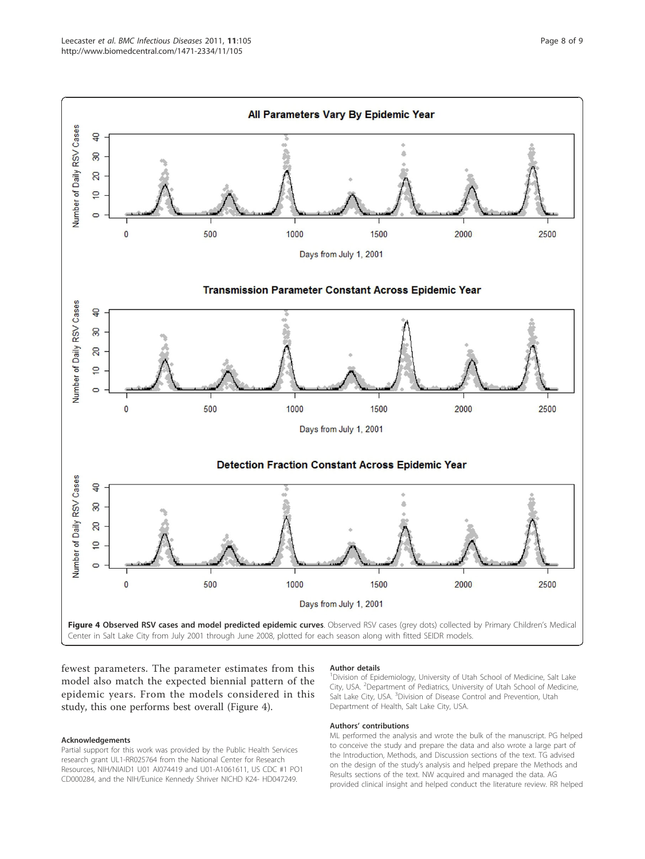

fewest parameters. The parameter estimates from this model also match the expected biennial pattern of the epidemic years. From the models considered in this study, this one performs best overall (Figure 4).

#### Acknowledgements

Partial support for this work was provided by the Public Health Services research grant UL1-RR025764 from the National Center for Research Resources, NIH/NIAID1 U01 AI074419 and U01-A1061611, US CDC #1 PO1 CD000284, and the NIH/Eunice Kennedy Shriver NICHD K24- HD047249.

#### Author details

<sup>1</sup> Division of Epidemiology, University of Utah School of Medicine, Salt Lake City, USA. <sup>2</sup> Department of Pediatrics, University of Utah School of Medicine, Salt Lake City, USA. <sup>3</sup> Division of Disease Control and Prevention, Utah Department of Health, Salt Lake City, USA.

#### Authors' contributions

ML performed the analysis and wrote the bulk of the manuscript. PG helped to conceive the study and prepare the data and also wrote a large part of the Introduction, Methods, and Discussion sections of the text. TG advised on the design of the study's analysis and helped prepare the Methods and Results sections of the text. NW acquired and managed the data. AG provided clinical insight and helped conduct the literature review. RR helped